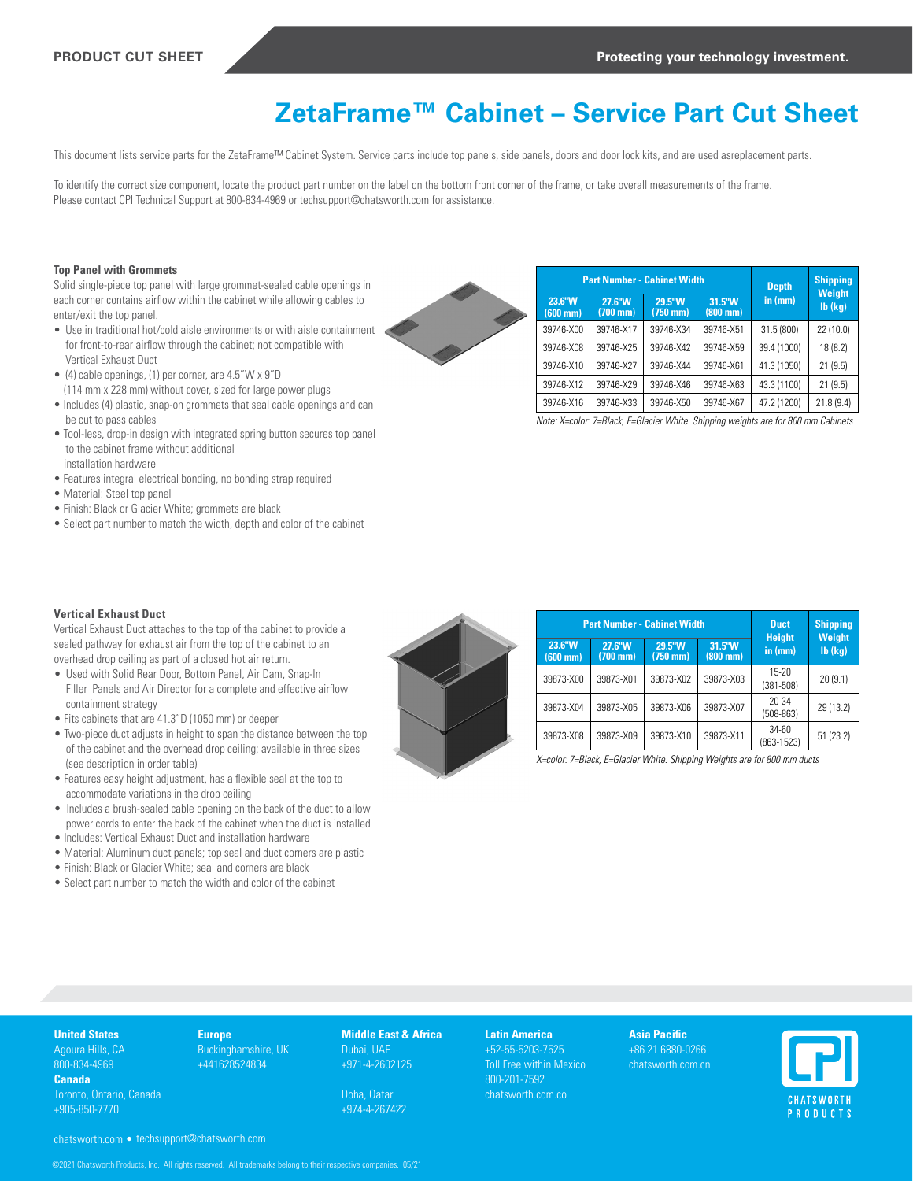# **ZetaFrame™ Cabinet – Service Part Cut Sheet**

This document lists service parts for the ZetaFrame™ Cabinet System. Service parts include top panels, side panels, doors and door lock kits, and are used asreplacement parts.

To identify the correct size component, locate the product part number on the label on the bottom front corner of the frame, or take overall measurements of the frame. Please contact CPI Technical Support at 800-834-4969 or techsupport@chatsworth.com for assistance.

## **Top Panel with Grommets**

Solid single-piece top panel with large grommet-sealed cable openings in each corner contains airflow within the cabinet while allowing cables to enter/exit the top panel.

- Use in traditional hot/cold aisle environments or with aisle containment for front-to-rear airflow through the cabinet; not compatible with Vertical Exhaust Duct
- (4) cable openings, (1) per corner, are 4.5"W x 9"D
- (114 mm x 228 mm) without cover, sized for large power plugs • Includes (4) plastic, snap-on grommets that seal cable openings and can be cut to pass cables
- Tool-less, drop-in design with integrated spring button secures top panel to the cabinet frame without additional
- installation hardware
- Features integral electrical bonding, no bonding strap required
- Material: Steel top panel
- Finish: Black or Glacier White; grommets are black
- Select part number to match the width, depth and color of the cabinet

|    |                                | <b>Part Number - Cabinet Width</b> |                              |                              | <b>Shipping</b><br><b>Depth</b> |                              |
|----|--------------------------------|------------------------------------|------------------------------|------------------------------|---------------------------------|------------------------------|
| b. | 23.6"W<br>$(600 \, \text{mm})$ | 27.6"W<br>$(700 \, \text{mm})$     | 29.5"W<br>$(750 \text{ mm})$ | 31.5"W<br>$(800 \text{ mm})$ | in (mm)                         | <b>Weight</b><br>$Ib$ $(kq)$ |
|    | 39746-X00                      | 39746-X17                          | 39746-X34                    | 39746-X51                    | 31.5 (800)                      | 22 (10.0)                    |
|    | 39746-X08                      | 39746-X25                          | 39746-X42                    | 39746-X59                    | 39.4 (1000)                     | 18(8.2)                      |
|    | 39746-X10                      | 39746-X27                          | 39746-X44                    | 39746-X61                    | 41.3 (1050)                     | 21(9.5)                      |
|    | 39746-X12                      | 39746-X29                          | 39746-X46                    | 39746-X63                    | 43.3 (1100)                     | 21(9.5)                      |
|    | 39746-X16                      | 39746-X33                          | 39746-X50                    | 39746-X67                    | 47.2 (1200)                     | 21.8(9.4)                    |

*Note: X=color: 7=Black, E=Glacier White. Shipping weights are for 800 mm Cabinets*

## **Vertical Exhaust Duct**

Vertical Exhaust Duct attaches to the top of the cabinet to provide a sealed pathway for exhaust air from the top of the cabinet to an overhead drop ceiling as part of a closed hot air return.

- Used with Solid Rear Door, Bottom Panel, Air Dam, Snap-In Filler Panels and Air Director for a complete and effective airflow containment strategy
- Fits cabinets that are 41.3"D (1050 mm) or deeper
- Two-piece duct adjusts in height to span the distance between the top of the cabinet and the overhead drop ceiling; available in three sizes (see description in order table)
- Features easy height adjustment, has a flexible seal at the top to accommodate variations in the drop ceiling
- Includes a brush-sealed cable opening on the back of the duct to allow power cords to enter the back of the cabinet when the duct is installed
- Includes: Vertical Exhaust Duct and installation hardware
- Material: Aluminum duct panels; top seal and duct corners are plastic
- Finish: Black or Glacier White; seal and corners are black
- Select part number to match the width and color of the cabinet



|                                |                                | <b>Part Number - Cabinet Width</b> |                                | <b>Duct</b>              | <b>Shipping</b>                |
|--------------------------------|--------------------------------|------------------------------------|--------------------------------|--------------------------|--------------------------------|
| 23.6"W<br>$(600 \, \text{mm})$ | 27.6"W<br>$(700 \, \text{mm})$ | 29.5"W<br>$(750 \text{ mm})$       | 31.5"W<br>$(800 \, \text{mm})$ | <b>Height</b><br>in (mm) | <b>Weight</b><br>$Ib$ ( $kq$ ) |
| 39873-X00                      | 39873-X01                      | 39873-X02                          | 39873-X03                      | 15-20<br>$(381 - 508)$   | 20(9.1)                        |
| 39873-X04                      | 39873-X05                      | 39873-X06                          | 39873-X07                      | 20-34<br>$(508-863)$     | 29 (13.2)                      |
| 39873-X08                      | 39873-X09                      | 39873-X10                          | 39873-X11                      | 34-60<br>$(863 - 1523)$  | 51(23.2)                       |

*X=color: 7=Black, E=Glacier White. Shipping Weights are for 800 mm ducts*

## **United States** Agoura Hills, CA

800-834-4969 **Canada**

Toronto, Ontario, Canada +905-850-7770

**Europe** Buckinghamshire, UK +441628524834

**Middle East & Africa** Dubai, UAE +971-4-2602125

Doha, Qatar +974-4-267422 **Latin America**  +52-55-5203-7525 Toll Free within Mexico 800-201-7592 chatsworth.com.co

**Asia Pacific** +86 21 6880-0266 chatsworth.com.cn



chatsworth.com • techsupport@chatsworth.com

©2021 Chatsworth Products, Inc. All rights reserved. All trademarks belong to their respective companies. 05/21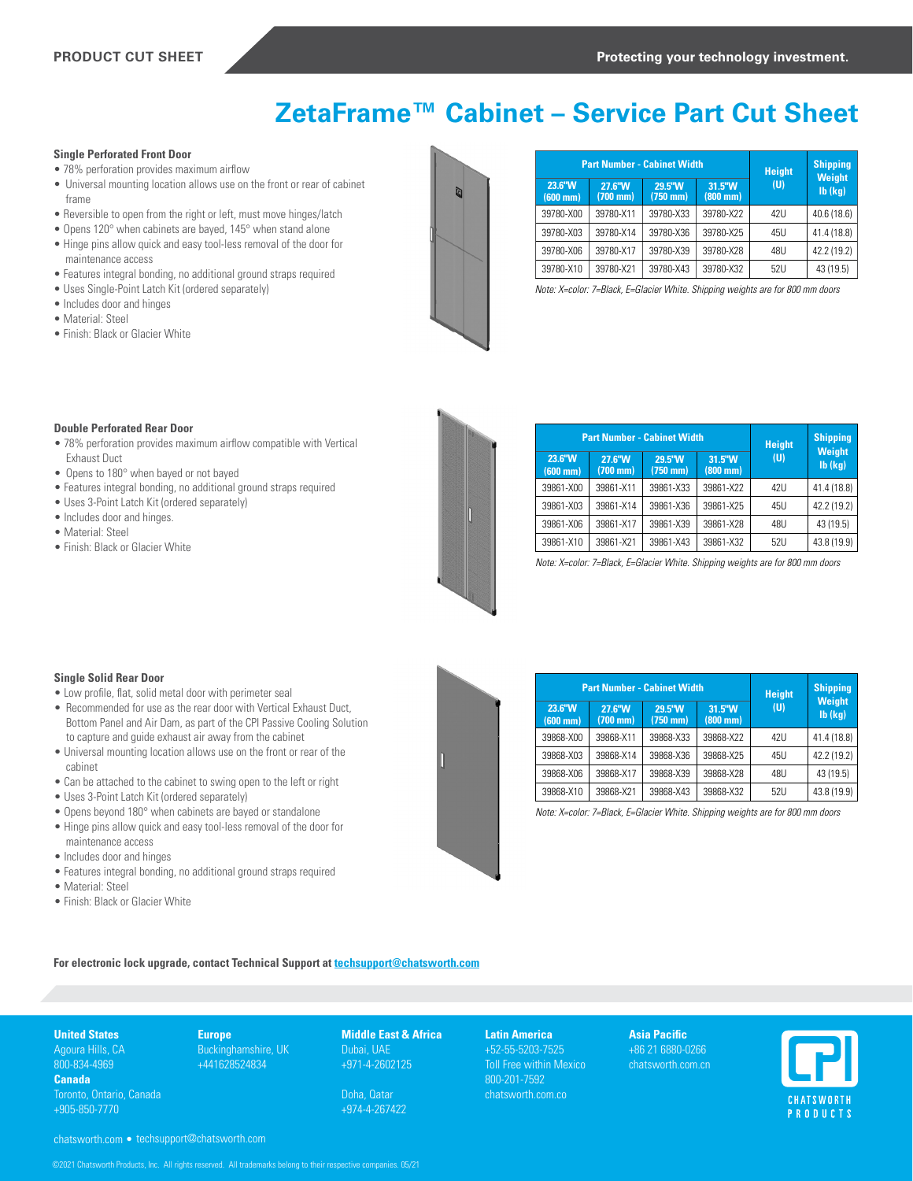# **ZetaFrame™ Cabinet – Service Part Cut Sheet**

## **Single Perforated Front Door**

- 78% perforation provides maximum airflow
- Universal mounting location allows use on the front or rear of cabinet frame
- Reversible to open from the right or left, must move hinges/latch
- Opens 120° when cabinets are bayed, 145° when stand alone
- Hinge pins allow quick and easy tool-less removal of the door for maintenance access
- Features integral bonding, no additional ground straps required
- Uses Single-Point Latch Kit (ordered separately)
- Includes door and hinges
- Material: Steel
- Finish: Black or Glacier White



|                                | <b>Part Number - Cabinet Width</b> |                      |                              | <b>Height</b> | <b>Shipping</b>                |
|--------------------------------|------------------------------------|----------------------|------------------------------|---------------|--------------------------------|
| 23.6"W<br>$(600 \, \text{mm})$ | 27.6"W<br>$(700 \, \text{mm})$     | 29.5"W<br>$(750$ mm) | 31.5"W<br>$(800 \text{ mm})$ | (U)           | <b>Weight</b><br>$Ib$ ( $kq$ ) |
| 39780-X00                      | 39780-X11                          | 39780-X33            | 39780-X22                    | 47U           | 40.6 (18.6)                    |
| 39780-X03                      | 39780-X14                          | 39780-X36            | 39780-X25                    | 45U           | 41.4 (18.8)                    |
| 39780-X06                      | 39780-X17                          | 39780-X39            | 39780-X28                    | 48U           | 42.2 (19.2)                    |
| 39780-X10                      | 39780-X21                          | 39780-X43            | 39780-X32                    | 52U           | 43 (19.5)                      |

*Note: X=color: 7=Black, E=Glacier White. Shipping weights are for 800 mm doors*

#### **Double Perforated Rear Door**

- 78% perforation provides maximum airflow compatible with Vertical Exhaust Duct
- Opens to 180° when bayed or not bayed
- Features integral bonding, no additional ground straps required
- Uses 3-Point Latch Kit (ordered separately)
- Includes door and hinges.
- Material: Steel
- Finish: Black or Glacier White



|                              | <b>Part Number - Cabinet Width</b> |                              |                                | <b>Height</b><br>(U) | <b>Shipping</b><br><b>Weight</b> |
|------------------------------|------------------------------------|------------------------------|--------------------------------|----------------------|----------------------------------|
| 23.6"W<br>$(600 \text{ mm})$ | 27.6"W<br>$(700 \text{ mm})$       | 29.5"W<br>$(750 \text{ mm})$ | 31.5"W<br>$(800 \, \text{mm})$ |                      | $Ib$ ( $kq$ )                    |
| 39861-X00                    | 39861-X11                          | 39861-X33                    | 39861-X22                      | 47U                  | 41.4 (18.8)                      |
| 39861-X03                    | 39861-X14                          | 39861-X36                    | 39861-X25                      | 45U                  | 42.2 (19.2)                      |
| 39861-X06                    | 39861-X17                          | 39861-X39                    | 39861-X28                      | 48U                  | 43 (19.5)                        |
| 39861-X10                    | 39861-X21                          | 39861-X43                    | 39861-X32                      | 52U                  | 43.8 (19.9)                      |

*Note: X=color: 7=Black, E=Glacier White. Shipping weights are for 800 mm doors*

### **Single Solid Rear Door**

- Low profile, flat, solid metal door with perimeter seal
- Recommended for use as the rear door with Vertical Exhaust Duct, Bottom Panel and Air Dam, as part of the CPI Passive Cooling Solution to capture and guide exhaust air away from the cabinet
- Universal mounting location allows use on the front or rear of the cabinet
- Can be attached to the cabinet to swing open to the left or right
- Uses 3-Point Latch Kit (ordered separately)
- Opens beyond 180° when cabinets are bayed or standalone
- Hinge pins allow quick and easy tool-less removal of the door for maintenance access
- Includes door and hinges
- Features integral bonding, no additional ground straps required
- Material: Steel
- Finish: Black or Glacier White

|                                |                              | <b>Part Number - Cabinet Width</b> |                                | <b>Height</b><br>(U) | <b>Shipping</b><br><b>Weight</b> |
|--------------------------------|------------------------------|------------------------------------|--------------------------------|----------------------|----------------------------------|
| 23.6"W<br>$(600 \, \text{mm})$ | 27.6"W<br>$(700 \text{ mm})$ | 29.5"W<br>$(750 \text{ mm})$       | 31.5"W<br>$(800 \, \text{mm})$ |                      | $Ib$ ( $kq$ )                    |
| 39868-X00                      | 39868-X11                    | 39868-X33                          | 39868-X22                      | 47U                  | 41.4 (18.8)                      |
| 39868-X03                      | 39868-X14                    | 39868-X36                          | 39868-X25                      | 45U                  | 42.2 (19.2)                      |
| 39868-X06                      | 39868-X17                    | 39868-X39                          | 39868-X28                      | 48U                  | 43 (19.5)                        |
| 39868-X10                      | 39868-X21                    | 39868-X43                          | 39868-X32                      | 5211                 | 43.8 (19.9)                      |

*Note: X=color: 7=Black, E=Glacier White. Shipping weights are for 800 mm doors*

**For electronic lock upgrade, contact Technical Support at [techsupport@chatsworth.com](mailto:techsupport%40chatsworth.com?subject=)**

## **United States** Agoura Hills, CA

800-834-4969 **Canada** Toronto, Ontario, Canada

+905-850-7770

**Europe** Buckinghamshire, UK +441628524834

**Middle East & Africa** Dubai, UAE +971-4-2602125

Doha, Qatar +974-4-267422 **Latin America**  +52-55-5203-7525 Toll Free within Mexico 800-201-7592 chatsworth.com.co

**Asia Pacific** +86 21 6880-0266 chatsworth.com.cn



chatsworth.com • techsupport@chatsworth.com

©2021 Chatsworth Products, Inc. All rights reserved. All trademarks belong to their respective companies. 05/21